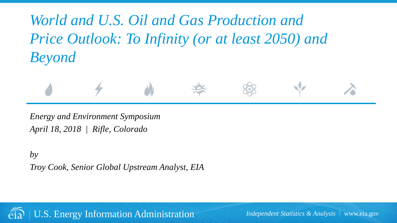*World and U.S. Oil and Gas Production and Price Outlook: To Infinity (or at least 2050) and Beyond*



*Energy and Environment Symposium April 18, 2018 | Rifle, Colorado*

*by Troy Cook, Senior Global Upstream Analyst, EIA* 



U.S. Energy Information Administration *Independent Statistics & Analysis* www.eia.gov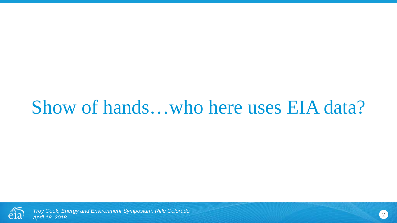# Show of hands…who here uses EIA data?



*Troy Cook, Energy and Environment Symposium, Rifle Colorado April 18, 2018* <sup>2</sup>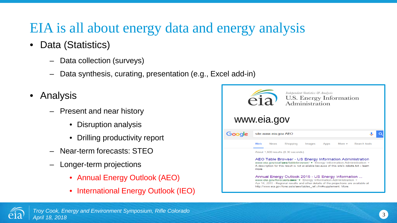## EIA is all about energy data and energy analysis

- Data (Statistics)
	- Data collection (surveys)
	- Data synthesis, curating, presentation (e.g., Excel add-in)
- Analysis
	- Present and near history
		- Disruption analysis
		- Drilling productivity report
	- Near-term forecasts: STEO
	- Longer-term projections
		- Annual Energy Outlook (AEO)
		- International Energy Outlook (IEO)



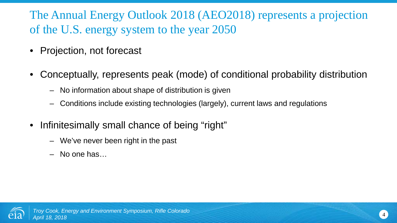The Annual Energy Outlook 2018 (AEO2018) represents a projection of the U.S. energy system to the year 2050

- Projection, not forecast
- Conceptually, represents peak (mode) of conditional probability distribution
	- No information about shape of distribution is given
	- Conditions include existing technologies (largely), current laws and regulations
- Infinitesimally small chance of being "right"
	- We've never been right in the past
	- No one has…

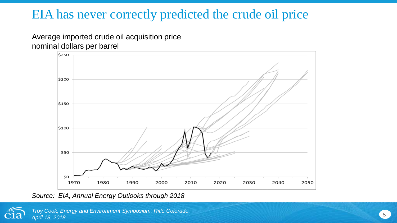### EIA has never correctly predicted the crude oil price

Average imported crude oil acquisition price nominal dollars per barrel



*Source: EIA, Annual Energy Outlooks through 2018*

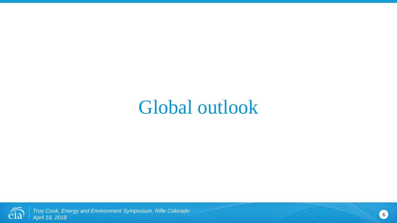## Global outlook

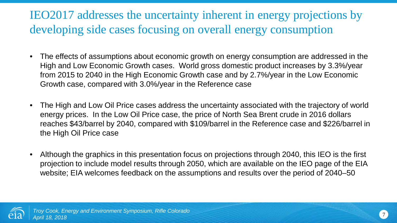### IEO2017 addresses the uncertainty inherent in energy projections by developing side cases focusing on overall energy consumption

- The effects of assumptions about economic growth on energy consumption are addressed in the High and Low Economic Growth cases. World gross domestic product increases by 3.3%/year from 2015 to 2040 in the High Economic Growth case and by 2.7%/year in the Low Economic Growth case, compared with 3.0%/year in the Reference case
- The High and Low Oil Price cases address the uncertainty associated with the trajectory of world energy prices. In the Low Oil Price case, the price of North Sea Brent crude in 2016 dollars reaches \$43/barrel by 2040, compared with \$109/barrel in the Reference case and \$226/barrel in the High Oil Price case
- Although the graphics in this presentation focus on projections through 2040, this IEO is the first projection to include model results through 2050, which are available on the IEO page of the EIA website; EIA welcomes feedback on the assumptions and results over the period of 2040–50

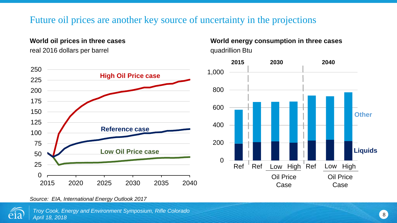#### Future oil prices are another key source of uncertainty in the projections

#### **World oil prices in three cases**

real 2016 dollars per barrel



#### **World energy consumption in three cases** quadrillion Btu



*Source: EIA, International Energy Outlook 2017*

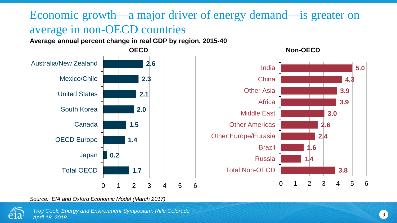### Economic growth—a major driver of energy demand—is greater on average in non-OECD countries

**Average annual percent change in real GDP by region, 2015-40**



*Source: EIA and Oxford Economic Model (March 2017)*



**3.8**

**2.4**

**2.6**

**3.0**

**3.9 3.9**

**4.3**

**5.0**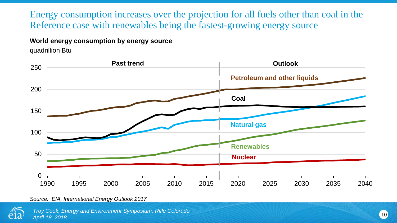Energy consumption increases over the projection for all fuels other than coal in the Reference case with renewables being the fastest-growing energy source

#### **World energy consumption by energy source**

quadrillion Btu



*Source: EIA, International Energy Outlook 2017*

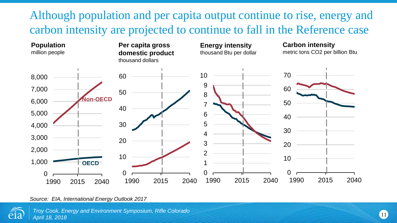### Although population and per capita output continue to rise, energy and carbon intensity are projected to continue to fall in the Reference case



*Source: EIA, International Energy Outlook 2017*

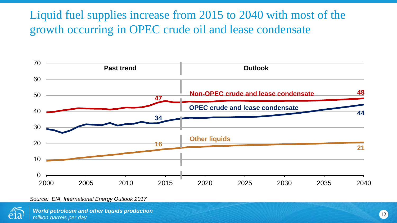### Liquid fuel supplies increase from 2015 to 2040 with most of the growth occurring in OPEC crude oil and lease condensate



*Source: EIA, International Energy Outlook 2017*

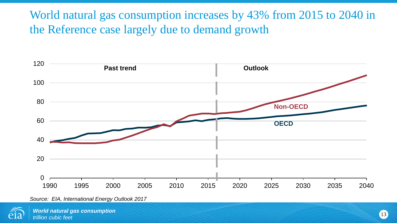World natural gas consumption increases by 43% from 2015 to 2040 in the Reference case largely due to demand growth



*Source: EIA, International Energy Outlook 2017*

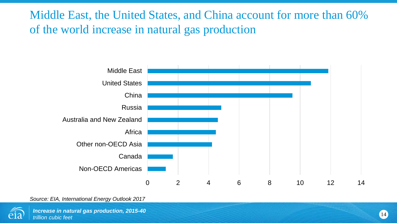Middle East, the United States, and China account for more than 60% of the world increase in natural gas production



*Source: EIA, International Energy Outlook 2017*

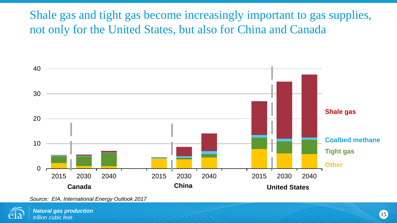Shale gas and tight gas become increasingly important to gas supplies, not only for the United States, but also for China and Canada



*Source: EIA, International Energy Outlook 2017*

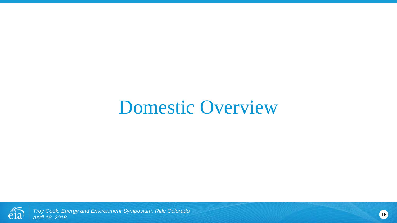# Domestic Overview

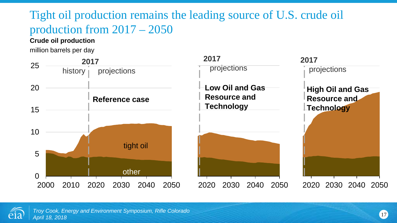### Tight oil production remains the leading source of U.S. crude oil production from 2017 – 2050

#### **Crude oil production**

million barrels per day



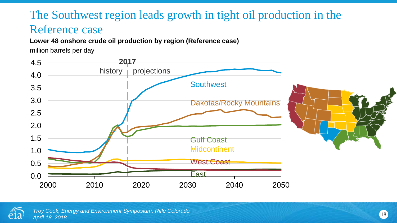### The Southwest region leads growth in tight oil production in the Reference case

#### **Lower 48 onshore crude oil production by region (Reference case)**

million barrels per day



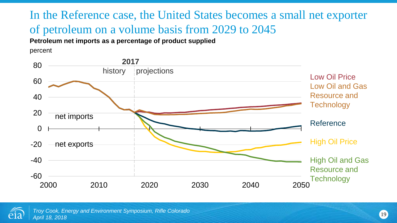### In the Reference case, the United States becomes a small net exporter of petroleum on a volume basis from 2029 to 2045

**Petroleum net imports as a percentage of product supplied**

percent



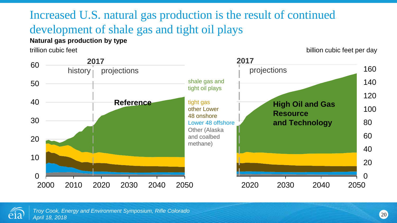## Increased U.S. natural gas production is the result of continued development of shale gas and tight oil plays

#### **Natural gas production by type**

trillion cubic feet **billion** cubic feet per day



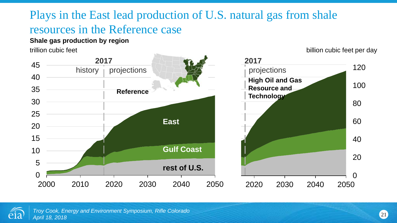### Plays in the East lead production of U.S. natural gas from shale resources in the Reference case

#### **Shale gas production by region**

trillion cubic feet **billion** cubic feet per day



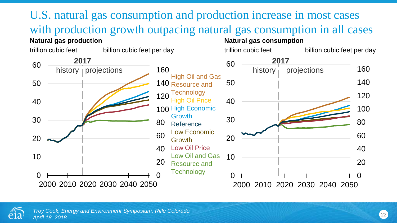

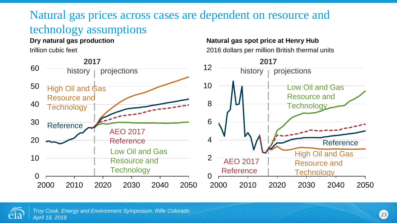### Natural gas prices across cases are dependent on resource and technology assumptions

#### **Dry natural gas production**

trillion cubic feet



#### **Natural gas spot price at Henry Hub**  2016 dollars per million British thermal units



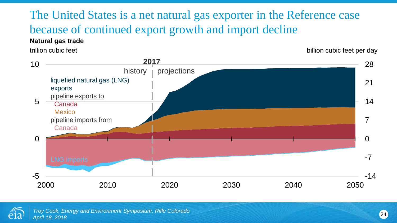The United States is a net natural gas exporter in the Reference case because of continued export growth and import decline

#### **Natural gas trade**

trillion cubic feet **billion** cubic feet per day





<sup>24</sup> *Troy Cook, Energy and Environment Symposium, Rifle Colorado April 18, 2018*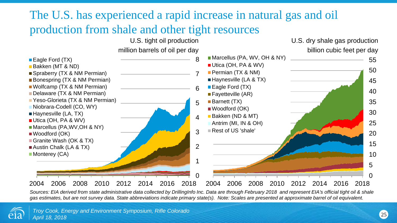### The U.S. has experienced a rapid increase in natural gas and oil production from shale and other tight resources



*Sources: EIA derived from state administrative data collected by DrillingInfo Inc. Data are through February 2018 and represent EIA's official tight oil & shale gas estimates, but are not survey data. State abbreviations indicate primary state(s). Note: Scales are presented at approximate barrel of oil equivalent.*